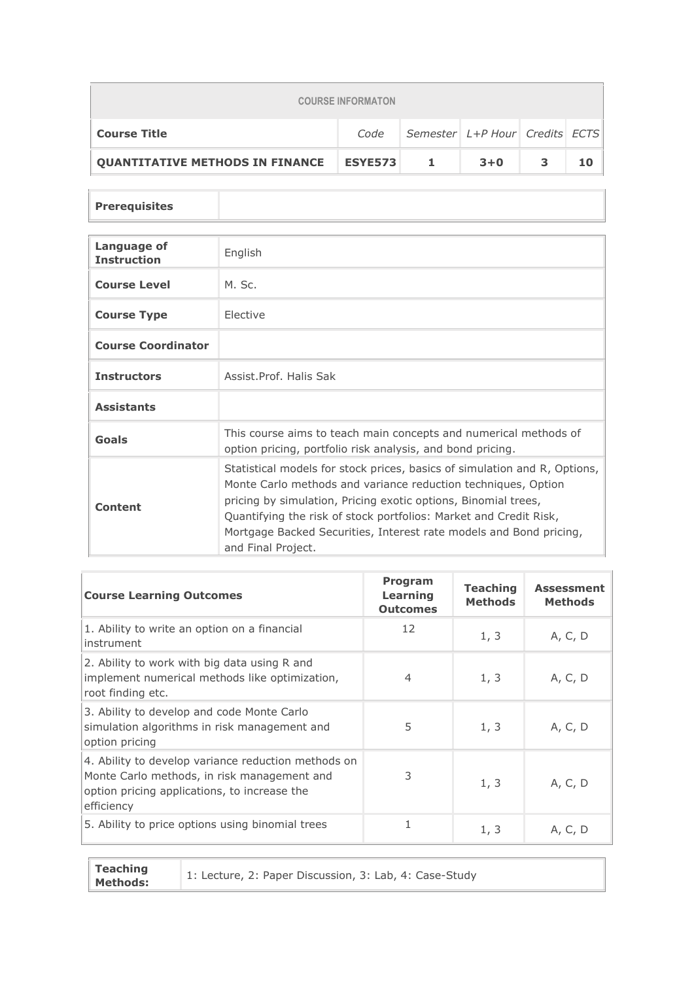| <b>COURSE INFORMATON</b>               |                |                                |         |   |    |  |
|----------------------------------------|----------------|--------------------------------|---------|---|----|--|
| <b>Course Title</b>                    | Code           | Semester L+P Hour Credits ECTS |         |   |    |  |
| <b>OUANTITATIVE METHODS IN FINANCE</b> | <b>ESYE573</b> | $\mathbf{1}$                   | $3 + 0$ | 3 | 10 |  |

## **Prerequisites**

| Language of<br><b>Instruction</b> | English                                                                                                                                                                                                                                                                                                                                                                       |
|-----------------------------------|-------------------------------------------------------------------------------------------------------------------------------------------------------------------------------------------------------------------------------------------------------------------------------------------------------------------------------------------------------------------------------|
| <b>Course Level</b>               | M. Sc.                                                                                                                                                                                                                                                                                                                                                                        |
| <b>Course Type</b>                | Elective                                                                                                                                                                                                                                                                                                                                                                      |
| <b>Course Coordinator</b>         |                                                                                                                                                                                                                                                                                                                                                                               |
| <b>Instructors</b>                | Assist.Prof. Halis Sak                                                                                                                                                                                                                                                                                                                                                        |
| <b>Assistants</b>                 |                                                                                                                                                                                                                                                                                                                                                                               |
| Goals                             | This course aims to teach main concepts and numerical methods of<br>option pricing, portfolio risk analysis, and bond pricing.                                                                                                                                                                                                                                                |
| Content                           | Statistical models for stock prices, basics of simulation and R, Options,<br>Monte Carlo methods and variance reduction techniques, Option<br>pricing by simulation, Pricing exotic options, Binomial trees,<br>Quantifying the risk of stock portfolios: Market and Credit Risk,<br>Mortgage Backed Securities, Interest rate models and Bond pricing,<br>and Final Project. |

| <b>Course Learning Outcomes</b>                                                                                                                                  | <b>Program</b><br><b>Learning</b><br><b>Outcomes</b> | <b>Teaching</b><br><b>Methods</b> | <b>Assessment</b><br><b>Methods</b> |
|------------------------------------------------------------------------------------------------------------------------------------------------------------------|------------------------------------------------------|-----------------------------------|-------------------------------------|
| 1. Ability to write an option on a financial<br>instrument                                                                                                       | 12                                                   | 1, 3                              | A, C, D                             |
| 2. Ability to work with big data using R and<br>implement numerical methods like optimization,<br>root finding etc.                                              | 4                                                    | 1, 3                              | A, C, D                             |
| 3. Ability to develop and code Monte Carlo<br>simulation algorithms in risk management and<br>option pricing                                                     | 5                                                    | 1, 3                              | A, C, D                             |
| 4. Ability to develop variance reduction methods on<br>Monte Carlo methods, in risk management and<br>option pricing applications, to increase the<br>efficiency | 3                                                    | 1, 3                              | A, C, D                             |
| 5. Ability to price options using binomial trees                                                                                                                 | 1                                                    | 1, 3                              | A, C, D                             |

| <b>Teaching</b><br><b>Methods:</b> | 1: Lecture, 2: Paper Discussion, 3: Lab, 4: Case-Study |
|------------------------------------|--------------------------------------------------------|
|------------------------------------|--------------------------------------------------------|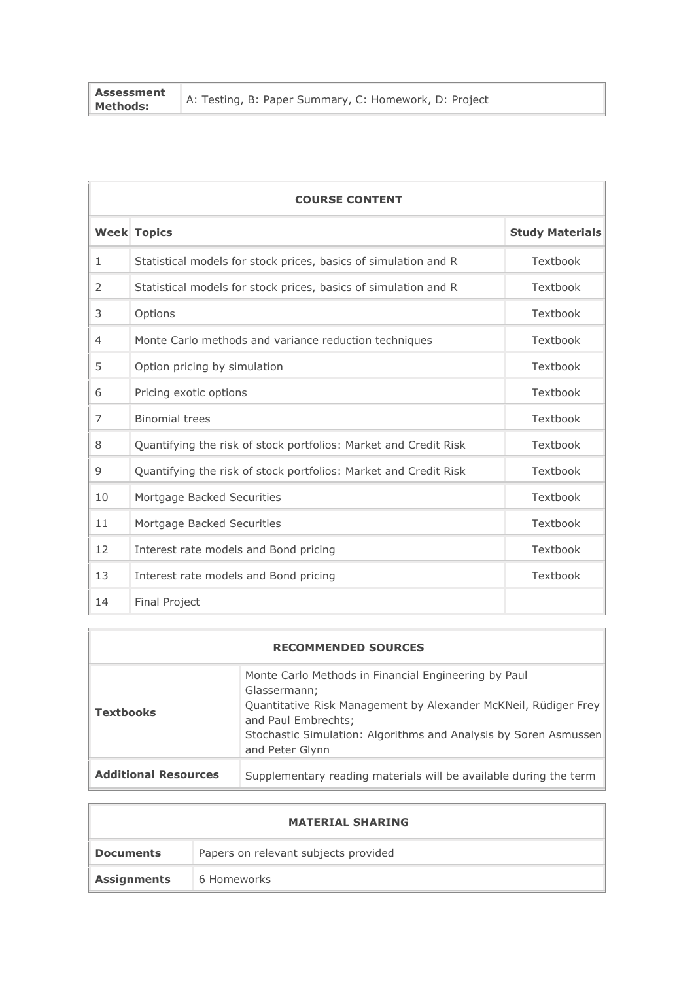| <b>Assessment</b><br><b>Methods:</b> | A: Testing, B: Paper Summary, C: Homework, D: Project |
|--------------------------------------|-------------------------------------------------------|
|                                      |                                                       |

| <b>COURSE CONTENT</b> |                                                                  |                        |  |  |
|-----------------------|------------------------------------------------------------------|------------------------|--|--|
|                       | <b>Week Topics</b>                                               | <b>Study Materials</b> |  |  |
| $\mathbf{1}$          | Statistical models for stock prices, basics of simulation and R  | Textbook               |  |  |
| 2                     | Statistical models for stock prices, basics of simulation and R  | Textbook               |  |  |
| 3                     | Options                                                          | Textbook               |  |  |
| $\overline{4}$        | Monte Carlo methods and variance reduction techniques            | Textbook               |  |  |
| 5                     | Option pricing by simulation                                     | Textbook               |  |  |
| 6                     | Pricing exotic options                                           | Textbook               |  |  |
| $\overline{7}$        | <b>Binomial trees</b>                                            | Textbook               |  |  |
| 8                     | Quantifying the risk of stock portfolios: Market and Credit Risk | Textbook               |  |  |
| 9                     | Quantifying the risk of stock portfolios: Market and Credit Risk | Textbook               |  |  |
| 10                    | Mortgage Backed Securities                                       | Textbook               |  |  |
| 11                    | Mortgage Backed Securities                                       | Textbook               |  |  |
| 12                    | Interest rate models and Bond pricing                            | Textbook               |  |  |
| 13                    | Interest rate models and Bond pricing                            | Textbook               |  |  |
| 14                    | <b>Final Project</b>                                             |                        |  |  |

| <b>RECOMMENDED SOURCES</b>  |                                                                                                                                                                                                                                                       |  |  |  |
|-----------------------------|-------------------------------------------------------------------------------------------------------------------------------------------------------------------------------------------------------------------------------------------------------|--|--|--|
| <b>Textbooks</b>            | Monte Carlo Methods in Financial Engineering by Paul<br>Glassermann;<br>Quantitative Risk Management by Alexander McKNeil, Rüdiger Frey<br>and Paul Embrechts;<br>Stochastic Simulation: Algorithms and Analysis by Soren Asmussen<br>and Peter Glynn |  |  |  |
| <b>Additional Resources</b> | Supplementary reading materials will be available during the term                                                                                                                                                                                     |  |  |  |

|                    | <b>MATERIAL SHARING</b>              |
|--------------------|--------------------------------------|
| <b>Documents</b>   | Papers on relevant subjects provided |
| <b>Assignments</b> | 6 Homeworks                          |

 $\overline{1}$ 

 $\overline{\phantom{0}}$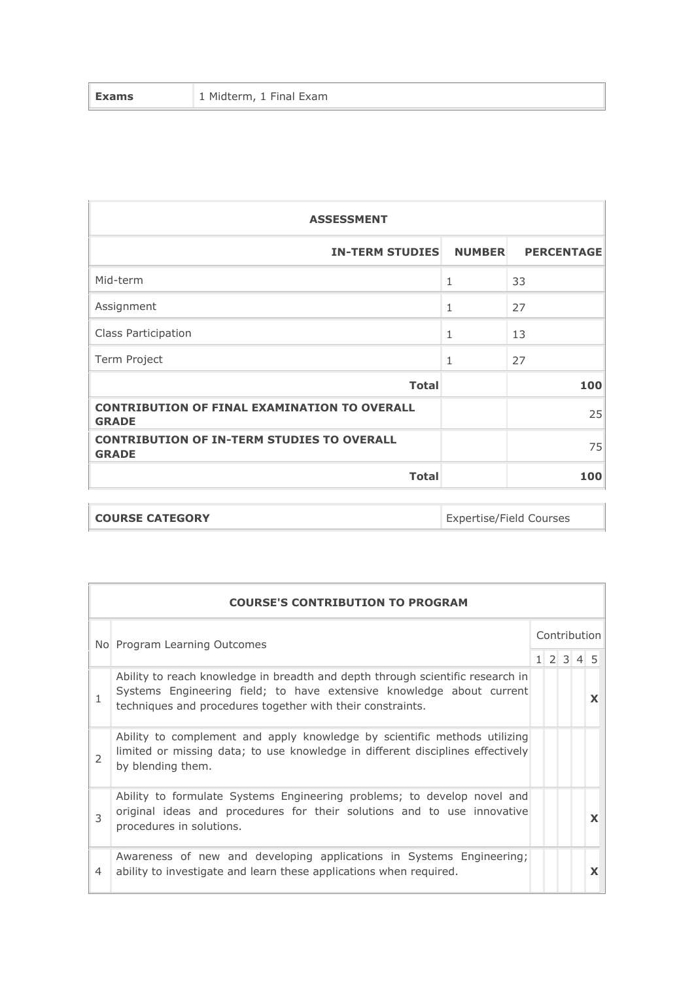| <b>Exams</b> | 1 Midterm, 1 Final Exam |
|--------------|-------------------------|
|--------------|-------------------------|

| <b>ASSESSMENT</b>                                                   |               |                   |  |  |
|---------------------------------------------------------------------|---------------|-------------------|--|--|
| <b>IN-TERM STUDIES</b>                                              | <b>NUMBER</b> | <b>PERCENTAGE</b> |  |  |
| Mid-term                                                            | $\mathbf{1}$  | 33                |  |  |
| Assignment                                                          | $\mathbf{1}$  | 27                |  |  |
| Class Participation                                                 | $\mathbf{1}$  | 13                |  |  |
| Term Project                                                        | 1             | 27                |  |  |
| <b>Total</b>                                                        |               | 100               |  |  |
| <b>CONTRIBUTION OF FINAL EXAMINATION TO OVERALL</b><br><b>GRADE</b> |               | 25                |  |  |
| <b>CONTRIBUTION OF IN-TERM STUDIES TO OVERALL</b><br><b>GRADE</b>   |               | 75                |  |  |
| <b>Total</b>                                                        |               | 100               |  |  |

| <b>COURSE CATEGORY</b> |
|------------------------|
|                        |

Expertise/Field Courses

|               | <b>COURSE'S CONTRIBUTION TO PROGRAM</b>                                                                                                                                                                              |  |              |  |                     |   |
|---------------|----------------------------------------------------------------------------------------------------------------------------------------------------------------------------------------------------------------------|--|--------------|--|---------------------|---|
|               | No Program Learning Outcomes                                                                                                                                                                                         |  | Contribution |  |                     |   |
|               |                                                                                                                                                                                                                      |  |              |  | $1 \t2 \t3 \t4 \t5$ |   |
| 1             | Ability to reach knowledge in breadth and depth through scientific research in<br>Systems Engineering field; to have extensive knowledge about current<br>techniques and procedures together with their constraints. |  |              |  |                     | X |
| $\mathcal{L}$ | Ability to complement and apply knowledge by scientific methods utilizing<br>limited or missing data; to use knowledge in different disciplines effectively<br>by blending them.                                     |  |              |  |                     |   |
| 3             | Ability to formulate Systems Engineering problems; to develop novel and<br>original ideas and procedures for their solutions and to use innovative<br>procedures in solutions.                                       |  |              |  |                     | X |
| 4             | Awareness of new and developing applications in Systems Engineering;<br>ability to investigate and learn these applications when required.                                                                           |  |              |  |                     | X |